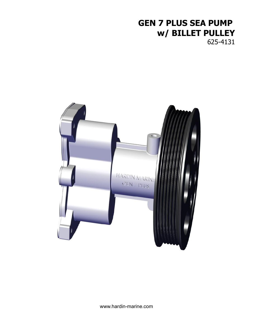# **GEN 7 PLUS SEA PUMP w/ BILLET PULLEY**

625-4131

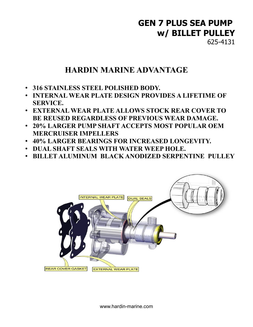# **GEN 7 PLUS SEA PUMP w/ BILLET PULLEY**

625-4131

### **HARDIN MARINE ADVANTAGE**

- **316 STAINLESS STEEL POLISHED BODY.**
- **INTERNAL WEAR PLATE DESIGN PROVIDES A LIFETIME OF SERVICE.**
- **EXTERNAL WEAR PLATE ALLOWS STOCK REAR COVER TO BE REUSED REGARDLESS OF PREVIOUS WEAR DAMAGE.**
- **20% LARGER PUMP SHAFT ACCEPTS MOST POPULAR OEM MERCRUISER IMPELLERS**
- **40% LARGER BEARINGS FOR INCREASED LONGEVITY.**
- **DUAL SHAFT SEALS WITH WATER WEEP HOLE.**
- **BILLET ALUMINUM BLACK ANODIZED SERPENTINE PULLEY**

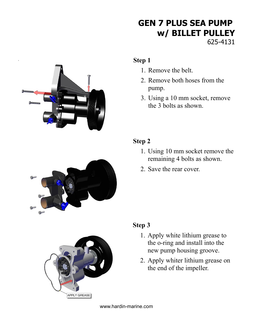## **GEN 7 PLUS SEA PUMP w/ BILLET PULLEY** 625-4131



#### **Step 1**

- 1. Remove the belt.
- 2. Remove both hoses from the pump.
- 3. Using a 10 mm socket, remove the 3 bolts as shown.



#### **Step 2**

- 1. Using 10 mm socket remove the remaining 4 bolts as shown.
- 2. Save the rear cover.



### **Step 3**

- 1. Apply white lithium grease to the o-ring and install into the new pump housing groove.
- 2. Apply whiter lithium grease on the end of the impeller.

www.hardin-marine.com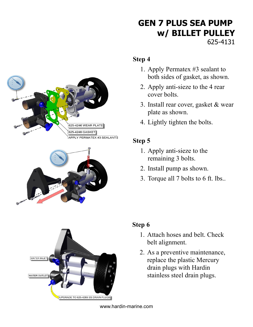## **GEN 7 PLUS SEA PUMP w/ BILLET PULLEY** 625-4131

#### **Step 4**

- 1. Apply Permatex #3 sealant to both sides of gasket, as shown.
- 2. Apply anti-sieze to the 4 rear cover bolts.
- 3. Install rear cover, gasket & wear plate as shown.
- 4. Lightly tighten the bolts.

### **Step 5**

- 1. Apply anti-sieze to the remaining 3 bolts.
- 2. Install pump as shown.
- 3. Torque all 7 bolts to 6 ft. lbs..



625-4246 WEAR PLATE 625-4248 GASKET

APPLY PERMATEX #3 SEALANT

### **Step 6**

- 1. Attach hoses and belt. Check belt alignment.
- 2. As a preventive maintenance, replace the plastic Mercury drain plugs with Hardin stainless steel drain plugs.

www.hardin-marine.com